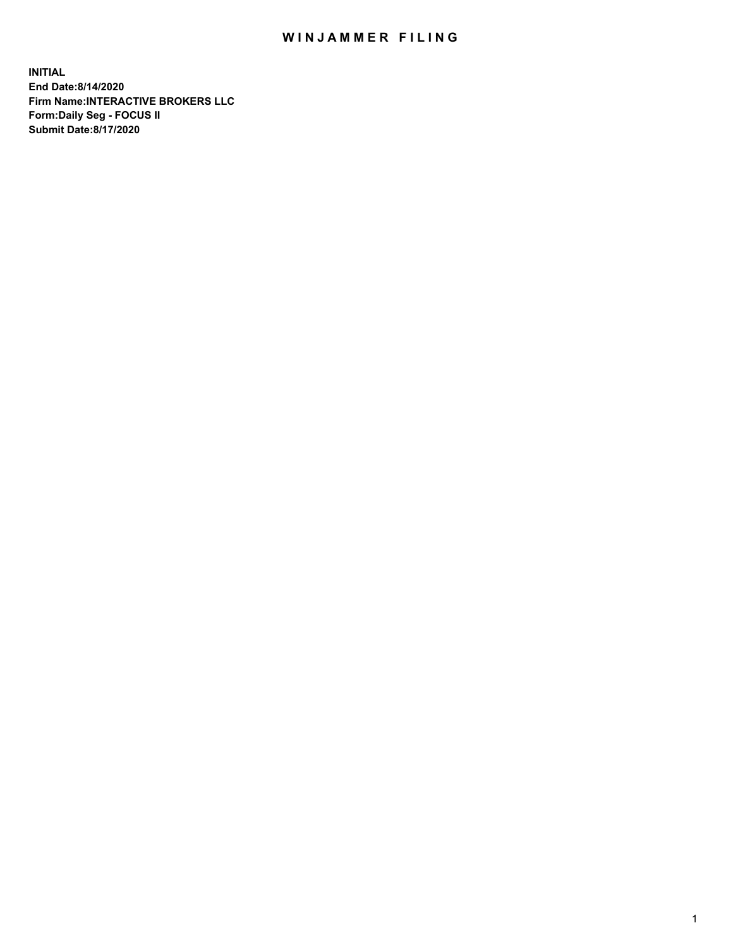## WIN JAMMER FILING

**INITIAL End Date:8/14/2020 Firm Name:INTERACTIVE BROKERS LLC Form:Daily Seg - FOCUS II Submit Date:8/17/2020**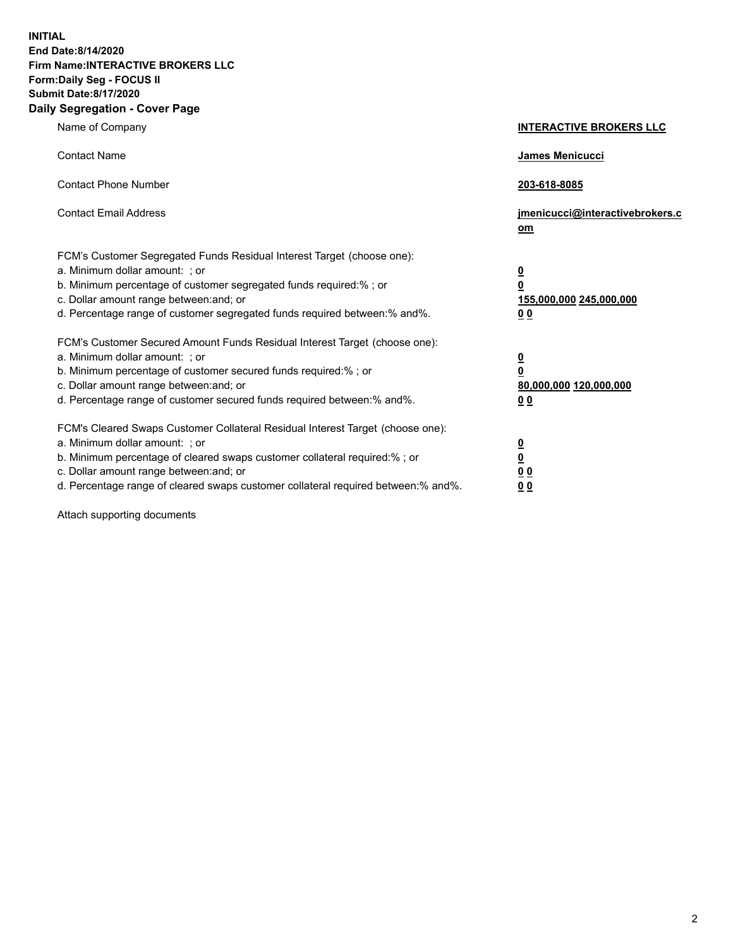**INITIAL End Date:8/14/2020 Firm Name:INTERACTIVE BROKERS LLC Form:Daily Seg - FOCUS II Submit Date:8/17/2020 Daily Segregation - Cover Page**

| Name of Company                                                                                                                                                                                                                                                                                                                | <b>INTERACTIVE BROKERS LLC</b>                                                   |
|--------------------------------------------------------------------------------------------------------------------------------------------------------------------------------------------------------------------------------------------------------------------------------------------------------------------------------|----------------------------------------------------------------------------------|
| <b>Contact Name</b>                                                                                                                                                                                                                                                                                                            | James Menicucci                                                                  |
| <b>Contact Phone Number</b>                                                                                                                                                                                                                                                                                                    | 203-618-8085                                                                     |
| <b>Contact Email Address</b>                                                                                                                                                                                                                                                                                                   | jmenicucci@interactivebrokers.c<br>om                                            |
| FCM's Customer Segregated Funds Residual Interest Target (choose one):<br>a. Minimum dollar amount: ; or<br>b. Minimum percentage of customer segregated funds required:% ; or<br>c. Dollar amount range between: and; or<br>d. Percentage range of customer segregated funds required between:% and%.                         | <u>0</u><br>$\overline{\mathbf{0}}$<br>155,000,000 245,000,000<br>0 <sub>0</sub> |
| FCM's Customer Secured Amount Funds Residual Interest Target (choose one):<br>a. Minimum dollar amount: ; or<br>b. Minimum percentage of customer secured funds required:% ; or<br>c. Dollar amount range between: and; or<br>d. Percentage range of customer secured funds required between:% and%.                           | <u>0</u><br>$\overline{\mathbf{0}}$<br>80,000,000 120,000,000<br>0 <sub>0</sub>  |
| FCM's Cleared Swaps Customer Collateral Residual Interest Target (choose one):<br>a. Minimum dollar amount: ; or<br>b. Minimum percentage of cleared swaps customer collateral required:% ; or<br>c. Dollar amount range between: and; or<br>d. Percentage range of cleared swaps customer collateral required between:% and%. | <u>0</u><br>$\underline{\mathbf{0}}$<br>0 <sub>0</sub><br>0 <sub>0</sub>         |

Attach supporting documents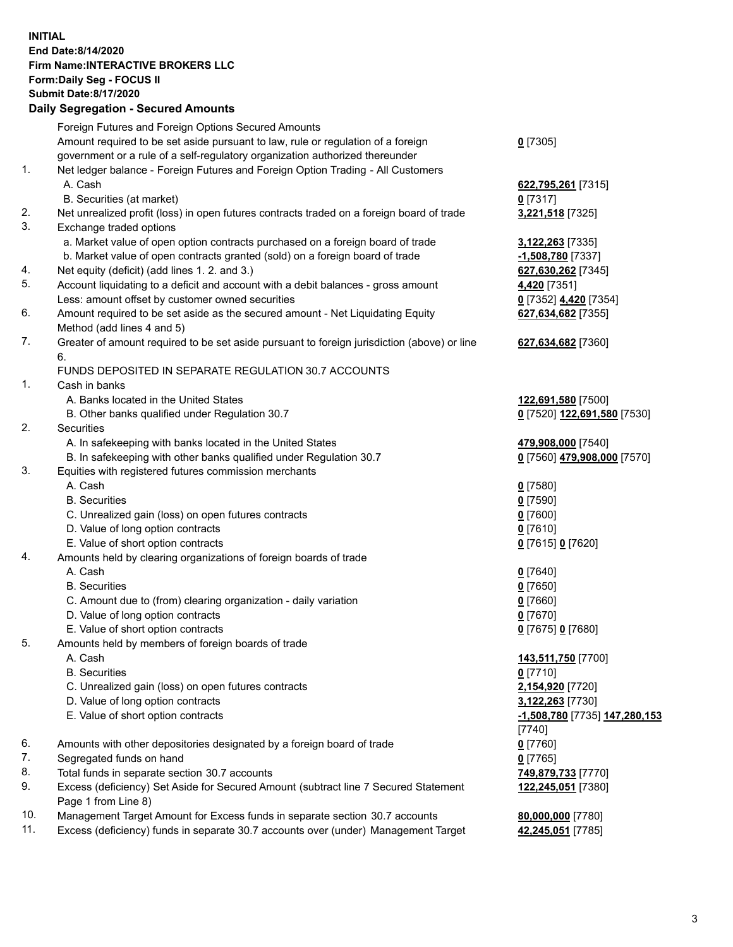**INITIAL End Date:8/14/2020 Firm Name:INTERACTIVE BROKERS LLC Form:Daily Seg - FOCUS II Submit Date:8/17/2020 Daily Segregation - Secured Amounts**

|     | Daily Segregation - Secureu Amounts                                                         |                                      |
|-----|---------------------------------------------------------------------------------------------|--------------------------------------|
|     | Foreign Futures and Foreign Options Secured Amounts                                         |                                      |
|     | Amount required to be set aside pursuant to law, rule or regulation of a foreign            | $0$ [7305]                           |
|     | government or a rule of a self-regulatory organization authorized thereunder                |                                      |
| 1.  | Net ledger balance - Foreign Futures and Foreign Option Trading - All Customers             |                                      |
|     | A. Cash                                                                                     | 622,795,261 [7315]                   |
|     | B. Securities (at market)                                                                   | $0$ [7317]                           |
| 2.  | Net unrealized profit (loss) in open futures contracts traded on a foreign board of trade   | 3,221,518 [7325]                     |
| 3.  | Exchange traded options                                                                     |                                      |
|     | a. Market value of open option contracts purchased on a foreign board of trade              | 3,122,263 [7335]                     |
|     | b. Market value of open contracts granted (sold) on a foreign board of trade                | -1,508,780 [7337]                    |
| 4.  | Net equity (deficit) (add lines 1. 2. and 3.)                                               | 627,630,262 [7345]                   |
| 5.  | Account liquidating to a deficit and account with a debit balances - gross amount           | 4,420 [7351]                         |
|     | Less: amount offset by customer owned securities                                            | 0 [7352] 4,420 [7354]                |
| 6.  | Amount required to be set aside as the secured amount - Net Liquidating Equity              | 627,634,682 [7355]                   |
|     | Method (add lines 4 and 5)                                                                  |                                      |
| 7.  | Greater of amount required to be set aside pursuant to foreign jurisdiction (above) or line |                                      |
|     | 6.                                                                                          | 627,634,682 [7360]                   |
|     | FUNDS DEPOSITED IN SEPARATE REGULATION 30.7 ACCOUNTS                                        |                                      |
| 1.  | Cash in banks                                                                               |                                      |
|     | A. Banks located in the United States                                                       |                                      |
|     | B. Other banks qualified under Regulation 30.7                                              | 122,691,580 [7500]                   |
| 2.  | Securities                                                                                  | 0 [7520] 122,691,580 [7530]          |
|     |                                                                                             |                                      |
|     | A. In safekeeping with banks located in the United States                                   | 479,908,000 [7540]                   |
|     | B. In safekeeping with other banks qualified under Regulation 30.7                          | 0 [7560] 479,908,000 [7570]          |
| 3.  | Equities with registered futures commission merchants                                       |                                      |
|     | A. Cash                                                                                     | $0$ [7580]                           |
|     | <b>B.</b> Securities                                                                        | $0$ [7590]                           |
|     | C. Unrealized gain (loss) on open futures contracts                                         | $0$ [7600]                           |
|     | D. Value of long option contracts                                                           | $0$ [7610]                           |
|     | E. Value of short option contracts                                                          | 0 [7615] 0 [7620]                    |
| 4.  | Amounts held by clearing organizations of foreign boards of trade                           |                                      |
|     | A. Cash                                                                                     | $Q$ [7640]                           |
|     | <b>B.</b> Securities                                                                        | $0$ [7650]                           |
|     | C. Amount due to (from) clearing organization - daily variation                             | $0$ [7660]                           |
|     | D. Value of long option contracts                                                           | $0$ [7670]                           |
|     | E. Value of short option contracts                                                          | 0 [7675] 0 [7680]                    |
| 5.  | Amounts held by members of foreign boards of trade                                          |                                      |
|     | A. Cash                                                                                     | 143,511,750 [7700]                   |
|     | <b>B.</b> Securities                                                                        | $0$ [7710]                           |
|     | C. Unrealized gain (loss) on open futures contracts                                         | 2,154,920 [7720]                     |
|     | D. Value of long option contracts                                                           | 3,122,263 [7730]                     |
|     | E. Value of short option contracts                                                          | <u>-1,508,780</u> [7735] 147,280,153 |
|     |                                                                                             | $[7740]$                             |
| 6.  | Amounts with other depositories designated by a foreign board of trade                      | $0$ [7760]                           |
| 7.  | Segregated funds on hand                                                                    | $0$ [7765]                           |
| 8.  | Total funds in separate section 30.7 accounts                                               | 749,879,733 [7770]                   |
| 9.  | Excess (deficiency) Set Aside for Secured Amount (subtract line 7 Secured Statement         | 122,245,051 [7380]                   |
|     | Page 1 from Line 8)                                                                         |                                      |
| 10. | Management Target Amount for Excess funds in separate section 30.7 accounts                 | 80,000,000 [7780]                    |
| 11. | Excess (deficiency) funds in separate 30.7 accounts over (under) Management Target          | 42,245,051 [7785]                    |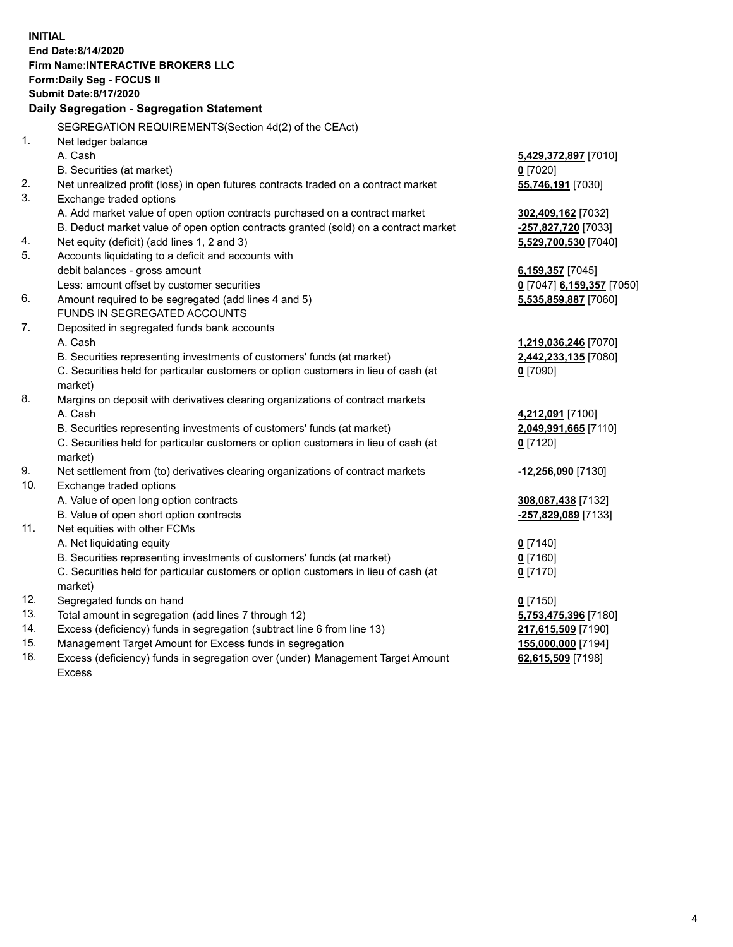**INITIAL End Date:8/14/2020 Firm Name:INTERACTIVE BROKERS LLC Form:Daily Seg - FOCUS II Submit Date:8/17/2020 Daily Segregation - Segregation Statement** SEGREGATION REQUIREMENTS(Section 4d(2) of the CEAct) 1. Net ledger balance A. Cash **5,429,372,897** [7010] B. Securities (at market) **0** [7020] 2. Net unrealized profit (loss) in open futures contracts traded on a contract market **55,746,191** [7030] 3. Exchange traded options A. Add market value of open option contracts purchased on a contract market **302,409,162** [7032] B. Deduct market value of open option contracts granted (sold) on a contract market **-257,827,720** [7033] 4. Net equity (deficit) (add lines 1, 2 and 3) **5,529,700,530** [7040] 5. Accounts liquidating to a deficit and accounts with debit balances - gross amount **6,159,357** [7045] Less: amount offset by customer securities **0** [7047] **6,159,357** [7050] 6. Amount required to be segregated (add lines 4 and 5) **5,535,859,887** [7060] FUNDS IN SEGREGATED ACCOUNTS 7. Deposited in segregated funds bank accounts A. Cash **1,219,036,246** [7070] B. Securities representing investments of customers' funds (at market) **2,442,233,135** [7080] C. Securities held for particular customers or option customers in lieu of cash (at market) **0** [7090] 8. Margins on deposit with derivatives clearing organizations of contract markets A. Cash **4,212,091** [7100] B. Securities representing investments of customers' funds (at market) **2,049,991,665** [7110] C. Securities held for particular customers or option customers in lieu of cash (at market) **0** [7120] 9. Net settlement from (to) derivatives clearing organizations of contract markets **-12,256,090** [7130] 10. Exchange traded options A. Value of open long option contracts **308,087,438** [7132] B. Value of open short option contracts **-257,829,089** [7133] 11. Net equities with other FCMs A. Net liquidating equity **0** [7140] B. Securities representing investments of customers' funds (at market) **0** [7160] C. Securities held for particular customers or option customers in lieu of cash (at market) **0** [7170] 12. Segregated funds on hand **0** [7150] 13. Total amount in segregation (add lines 7 through 12) **5,753,475,396** [7180] 14. Excess (deficiency) funds in segregation (subtract line 6 from line 13) **217,615,509** [7190] 15. Management Target Amount for Excess funds in segregation **155,000,000** [7194] 16. Excess (deficiency) funds in segregation over (under) Management Target Amount **62,615,509** [7198]

Excess